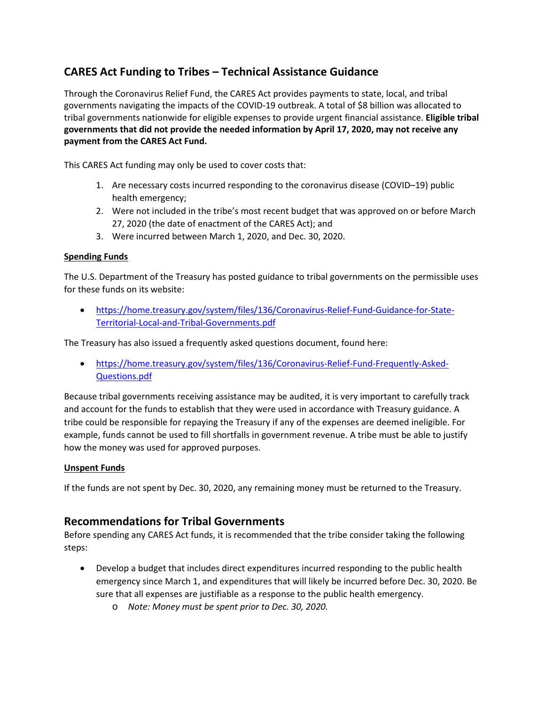# **CARES Act Funding to Tribes – Technical Assistance Guidance**

Through the Coronavirus Relief Fund, the CARES Act provides payments to state, local, and tribal governments navigating the impacts of the COVID-19 outbreak. A total of \$8 billion was allocated to tribal governments nationwide for eligible expenses to provide urgent financial assistance. **Eligible tribal governments that did not provide the needed information by April 17, 2020, may not receive any payment from the CARES Act Fund.**

This CARES Act funding may only be used to cover costs that:

- 1. Are necessary costs incurred responding to the coronavirus disease (COVID–19) public health emergency;
- 2. Were not included in the tribe's most recent budget that was approved on or before March 27, 2020 (the date of enactment of the CARES Act); and
- 3. Were incurred between March 1, 2020, and Dec. 30, 2020.

### **Spending Funds**

The U.S. Department of the Treasury has posted guidance to tribal governments on the permissible uses for these funds on its website:

• [https://home.treasury.gov/system/files/136/Coronavirus-Relief-Fund-Guidance-for-State-](https://home.treasury.gov/system/files/136/Coronavirus-Relief-Fund-Guidance-for-State-Territorial-Local-and-Tribal-Governments.pdf)[Territorial-Local-and-Tribal-Governments.pdf](https://home.treasury.gov/system/files/136/Coronavirus-Relief-Fund-Guidance-for-State-Territorial-Local-and-Tribal-Governments.pdf)

The Treasury has also issued a frequently asked questions document, found here:

• [https://home.treasury.gov/system/files/136/Coronavirus-Relief-Fund-Frequently-Asked-](https://home.treasury.gov/system/files/136/Coronavirus-Relief-Fund-Frequently-Asked-Questions.pdf)[Questions.pdf](https://home.treasury.gov/system/files/136/Coronavirus-Relief-Fund-Frequently-Asked-Questions.pdf)

Because tribal governments receiving assistance may be audited, it is very important to carefully track and account for the funds to establish that they were used in accordance with Treasury guidance. A tribe could be responsible for repaying the Treasury if any of the expenses are deemed ineligible. For example, funds cannot be used to fill shortfalls in government revenue. A tribe must be able to justify how the money was used for approved purposes.

#### **Unspent Funds**

If the funds are not spent by Dec. 30, 2020, any remaining money must be returned to the Treasury.

## **Recommendations for Tribal Governments**

Before spending any CARES Act funds, it is recommended that the tribe consider taking the following steps:

- Develop a budget that includes direct expenditures incurred responding to the public health emergency since March 1, and expenditures that will likely be incurred before Dec. 30, 2020. Be sure that all expenses are justifiable as a response to the public health emergency.
	- o *Note: Money must be spent prior to Dec. 30, 2020.*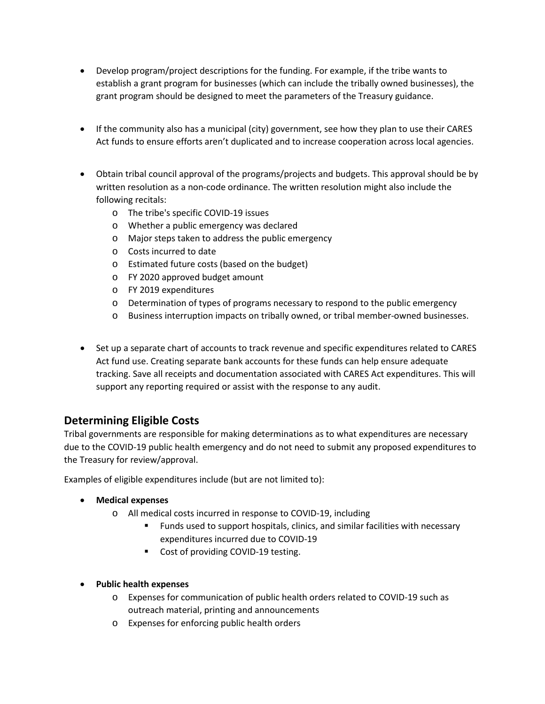- Develop program/project descriptions for the funding. For example, if the tribe wants to establish a grant program for businesses (which can include the tribally owned businesses), the grant program should be designed to meet the parameters of the Treasury guidance.
- If the community also has a municipal (city) government, see how they plan to use their CARES Act funds to ensure efforts aren't duplicated and to increase cooperation across local agencies.
- Obtain tribal council approval of the programs/projects and budgets. This approval should be by written resolution as a non-code ordinance. The written resolution might also include the following recitals:
	- o The tribe's specific COVID-19 issues
	- o Whether a public emergency was declared
	- o Major steps taken to address the public emergency
	- o Costs incurred to date
	- o Estimated future costs (based on the budget)
	- o FY 2020 approved budget amount
	- o FY 2019 expenditures
	- o Determination of types of programs necessary to respond to the public emergency
	- o Business interruption impacts on tribally owned, or tribal member-owned businesses.
- Set up a separate chart of accounts to track revenue and specific expenditures related to CARES Act fund use. Creating separate bank accounts for these funds can help ensure adequate tracking. Save all receipts and documentation associated with CARES Act expenditures. This will support any reporting required or assist with the response to any audit.

# **Determining Eligible Costs**

Tribal governments are responsible for making determinations as to what expenditures are necessary due to the COVID-19 public health emergency and do not need to submit any proposed expenditures to the Treasury for review/approval.

Examples of eligible expenditures include (but are not limited to):

- **Medical expenses**
	- o All medical costs incurred in response to COVID-19, including
		- Funds used to support hospitals, clinics, and similar facilities with necessary expenditures incurred due to COVID-19
		- Cost of providing COVID-19 testing.
- **Public health expenses**
	- o Expenses for communication of public health orders related to COVID-19 such as outreach material, printing and announcements
	- o Expenses for enforcing public health orders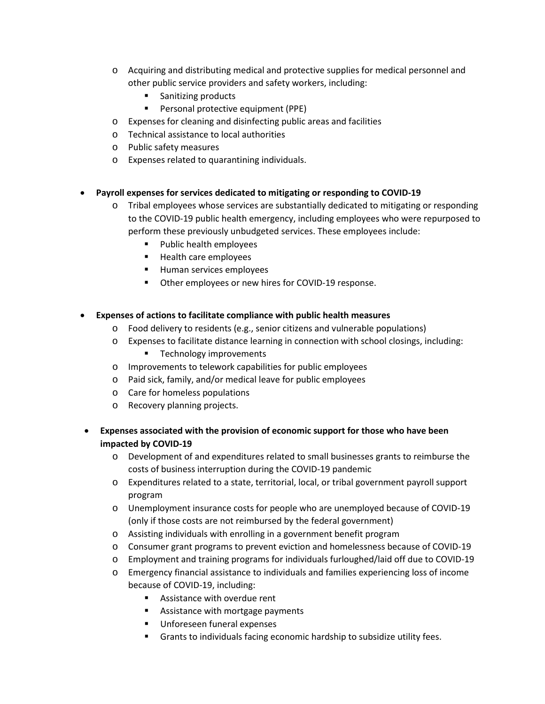- o Acquiring and distributing medical and protective supplies for medical personnel and other public service providers and safety workers, including:
	- Sanitizing products
	- **Personal protective equipment (PPE)**
- o Expenses for cleaning and disinfecting public areas and facilities
- o Technical assistance to local authorities
- o Public safety measures
- o Expenses related to quarantining individuals.

#### • **Payroll expenses for services dedicated to mitigating or responding to COVID-19**

- o Tribal employees whose services are substantially dedicated to mitigating or responding to the COVID-19 public health emergency, including employees who were repurposed to perform these previously unbudgeted services. These employees include:
	- **Public health employees**
	- **Health care employees**
	- **Human services employees**
	- Other employees or new hires for COVID-19 response.

#### • **Expenses of actions to facilitate compliance with public health measures**

- $\circ$  Food delivery to residents (e.g., senior citizens and vulnerable populations)
- o Expenses to facilitate distance learning in connection with school closings, including:
	- **Technology improvements**
- o Improvements to telework capabilities for public employees
- o Paid sick, family, and/or medical leave for public employees
- o Care for homeless populations
- o Recovery planning projects.
- **Expenses associated with the provision of economic support for those who have been impacted by COVID-19**
	- o Development of and expenditures related to small businesses grants to reimburse the costs of business interruption during the COVID-19 pandemic
	- o Expenditures related to a state, territorial, local, or tribal government payroll support program
	- o Unemployment insurance costs for people who are unemployed because of COVID-19 (only if those costs are not reimbursed by the federal government)
	- o Assisting individuals with enrolling in a government benefit program
	- o Consumer grant programs to prevent eviction and homelessness because of COVID-19
	- o Employment and training programs for individuals furloughed/laid off due to COVID-19
	- o Emergency financial assistance to individuals and families experiencing loss of income because of COVID-19, including:
		- Assistance with overdue rent
		- **Assistance with mortgage payments**
		- Unforeseen funeral expenses
		- Grants to individuals facing economic hardship to subsidize utility fees.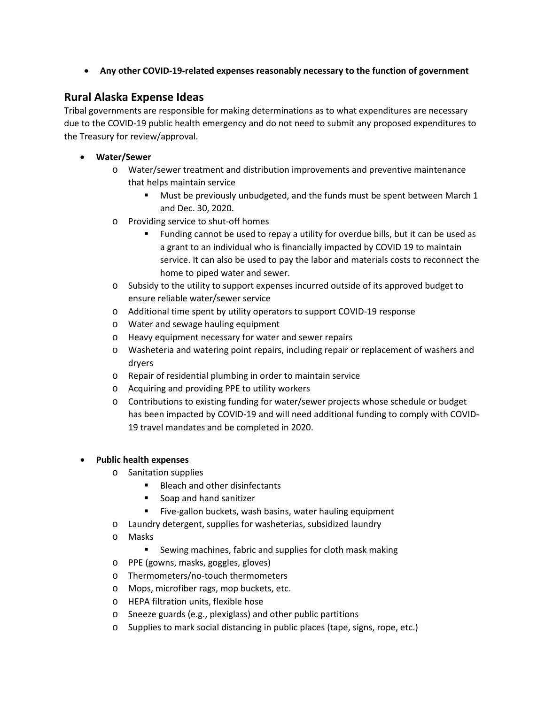• **Any other COVID-19-related expenses reasonably necessary to the function of government**

# **Rural Alaska Expense Ideas**

Tribal governments are responsible for making determinations as to what expenditures are necessary due to the COVID-19 public health emergency and do not need to submit any proposed expenditures to the Treasury for review/approval.

- **Water/Sewer**
	- o Water/sewer treatment and distribution improvements and preventive maintenance that helps maintain service
		- Must be previously unbudgeted, and the funds must be spent between March 1 and Dec. 30, 2020.
	- o Providing service to shut-off homes
		- Funding cannot be used to repay a utility for overdue bills, but it can be used as a grant to an individual who is financially impacted by COVID 19 to maintain service. It can also be used to pay the labor and materials costs to reconnect the home to piped water and sewer.
	- $\circ$  Subsidy to the utility to support expenses incurred outside of its approved budget to ensure reliable water/sewer service
	- o Additional time spent by utility operators to support COVID-19 response
	- o Water and sewage hauling equipment
	- o Heavy equipment necessary for water and sewer repairs
	- o Washeteria and watering point repairs, including repair or replacement of washers and dryers
	- o Repair of residential plumbing in order to maintain service
	- o Acquiring and providing PPE to utility workers
	- o Contributions to existing funding for water/sewer projects whose schedule or budget has been impacted by COVID-19 and will need additional funding to comply with COVID-19 travel mandates and be completed in 2020.

### • **Public health expenses**

- o Sanitation supplies
	- Bleach and other disinfectants
	- Soap and hand sanitizer
	- Five-gallon buckets, wash basins, water hauling equipment
- o Laundry detergent, supplies for washeterias, subsidized laundry
- o Masks
	- Sewing machines, fabric and supplies for cloth mask making
- o PPE (gowns, masks, goggles, gloves)
- o Thermometers/no-touch thermometers
- o Mops, microfiber rags, mop buckets, etc.
- o HEPA filtration units, flexible hose
- o Sneeze guards (e.g., plexiglass) and other public partitions
- o Supplies to mark social distancing in public places (tape, signs, rope, etc.)